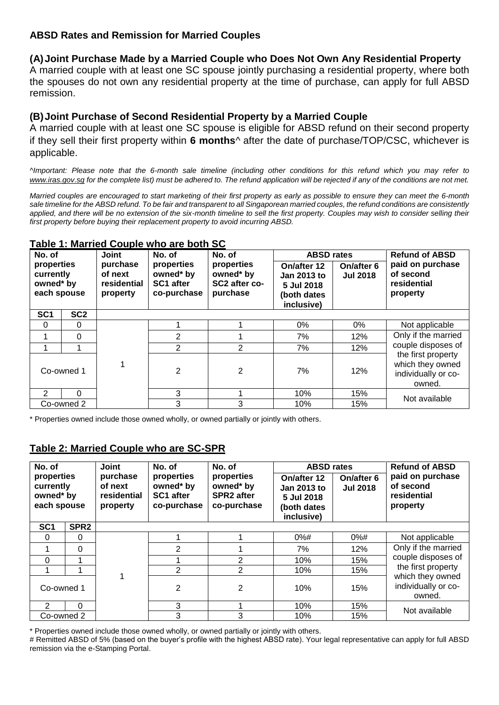## **ABSD Rates and Remission for Married Couples**

## **(A)Joint Purchase Made by a Married Couple who Does Not Own Any Residential Property**

A married couple with at least one SC spouse jointly purchasing a residential property, where both the spouses do not own any residential property at the time of purchase, can apply for full ABSD remission.

## **(B)Joint Purchase of Second Residential Property by a Married Couple**

A married couple with at least one SC spouse is eligible for ABSD refund on their second property if they sell their first property within **6 months**^ after the date of purchase/TOP/CSC, whichever is applicable.

*^Important: Please note that the 6-month sale timeline (including other conditions for this refund which you may refer to [www.iras.gov.sg](https://www.iras.gov.sg/irashome/Other-Taxes/Stamp-Duty-for-Property/Claiming-Refunds-Remissions-Reliefs/Remissions/Remission-of-ABSD-for-A-Married-Couple/) for the complete list) must be adhered to. The refund application will be rejected if any of the conditions are not met.* 

*Married couples are encouraged to start marketing of their first property as early as possible to ensure they can meet the 6-month sale timeline for the ABSD refund. To be fair and transparent to all Singaporean married couples, the refund conditions are consistently*  applied, and there will be no extension of the six-month timeline to sell the first property. Couples may wish to consider selling their *first property before buying their replacement property to avoid incurring ABSD.*

| No. of<br>properties<br>currently<br>owned* by<br>each spouse |                 | Table 1. Married Ocapic Milo are both OC<br><b>Joint</b> | No. of                                              | No. of                                               | <b>ABSD rates</b>                                                     |                               | <b>Refund of ABSD</b>                                                   |  |
|---------------------------------------------------------------|-----------------|----------------------------------------------------------|-----------------------------------------------------|------------------------------------------------------|-----------------------------------------------------------------------|-------------------------------|-------------------------------------------------------------------------|--|
|                                                               |                 | purchase<br>of next<br>residential<br>property           | properties<br>owned* by<br>SC1 after<br>co-purchase | properties<br>owned* by<br>SC2 after co-<br>purchase | On/after 12<br>Jan 2013 to<br>5 Jul 2018<br>(both dates<br>inclusive) | On/after 6<br><b>Jul 2018</b> | paid on purchase<br>of second<br>residential<br>property                |  |
| SC <sub>1</sub>                                               | SC <sub>2</sub> |                                                          |                                                     |                                                      |                                                                       |                               |                                                                         |  |
| $\Omega$                                                      | 0               |                                                          |                                                     |                                                      | $0\%$                                                                 | 0%                            | Not applicable                                                          |  |
|                                                               | 0               |                                                          | $\overline{2}$                                      |                                                      | 7%                                                                    | 12%                           | Only if the married                                                     |  |
|                                                               |                 |                                                          | 2                                                   | $\overline{2}$                                       | 7%                                                                    | 12%                           | couple disposes of                                                      |  |
| Co-owned 1                                                    |                 |                                                          | $\overline{2}$                                      | 2                                                    | 7%                                                                    | 12%                           | the first property<br>which they owned<br>individually or co-<br>owned. |  |
| $\mathcal{P}$                                                 | $\Omega$        |                                                          | 3                                                   |                                                      | 10%                                                                   | 15%                           | Not available                                                           |  |
| Co-owned 2                                                    |                 |                                                          | 3                                                   | 3                                                    | 10%                                                                   | 15%                           |                                                                         |  |

#### **Table 1: Married Couple who are both SC**

\* Properties owned include those owned wholly, or owned partially or jointly with others.

## **Table 2: Married Couple who are SC-SPR**

| No. of                                              |                  | <b>Joint</b>                                   | No. of                                                     | No. of                                                      | <b>ABSD</b> rates                                                     |                               | <b>Refund of ABSD</b>                                           |  |
|-----------------------------------------------------|------------------|------------------------------------------------|------------------------------------------------------------|-------------------------------------------------------------|-----------------------------------------------------------------------|-------------------------------|-----------------------------------------------------------------|--|
| properties<br>currently<br>owned* by<br>each spouse |                  | purchase<br>of next<br>residential<br>property | properties<br>owned* by<br><b>SC1 after</b><br>co-purchase | properties<br>owned* by<br><b>SPR2</b> after<br>co-purchase | On/after 12<br>Jan 2013 to<br>5 Jul 2018<br>(both dates<br>inclusive) | On/after 6<br><b>Jul 2018</b> | paid on purchase<br>of second<br>residential<br>property        |  |
| SC <sub>1</sub>                                     | SPR <sub>2</sub> |                                                |                                                            |                                                             |                                                                       |                               |                                                                 |  |
| $\Omega$                                            | $\Omega$         |                                                |                                                            |                                                             | $0%$ #                                                                | $0\%$ #                       | Not applicable                                                  |  |
|                                                     | $\Omega$         |                                                | 2                                                          |                                                             | 7%                                                                    | 12%                           | Only if the married<br>couple disposes of<br>the first property |  |
| 0                                                   | 1                |                                                |                                                            | 2                                                           | 10%                                                                   | 15%                           |                                                                 |  |
|                                                     |                  |                                                | $\overline{2}$                                             | 2                                                           | 10%                                                                   | 15%                           |                                                                 |  |
| Co-owned 1                                          |                  |                                                | $\overline{2}$                                             | 2                                                           | 10%                                                                   | 15%                           | which they owned<br>individually or co-<br>owned.               |  |
| $\mathcal{P}$                                       | $\Omega$         |                                                | 3                                                          |                                                             | 10%                                                                   | 15%                           | Not available                                                   |  |
| Co-owned 2                                          |                  |                                                | 3                                                          | 3                                                           | 10%                                                                   | 15%                           |                                                                 |  |

\* Properties owned include those owned wholly, or owned partially or jointly with others.

# Remitted ABSD of 5% (based on the buyer's profile with the highest ABSD rate). Your legal representative can apply for full ABSD remission via the e-Stamping Portal.